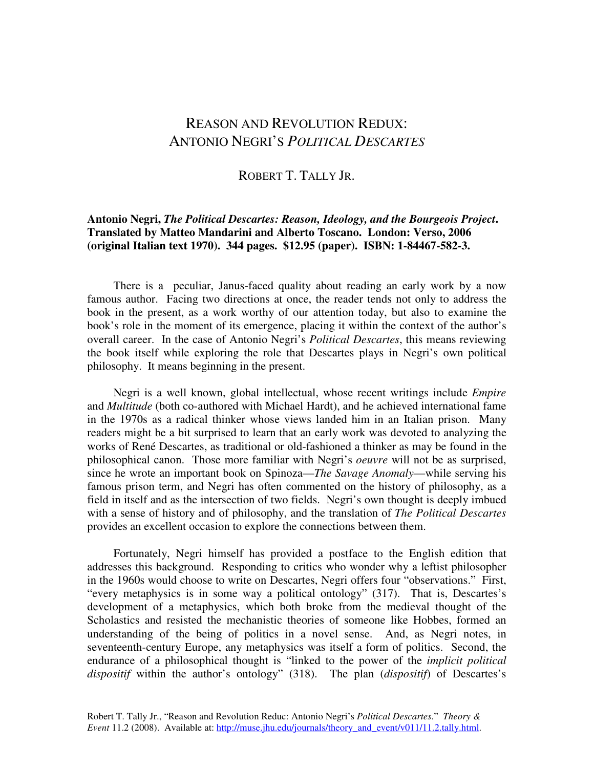## REASON AND REVOLUTION REDUX: ANTONIO NEGRI'S *POLITICAL DESCARTES*

## ROBERT T. TALLY JR.

## **Antonio Negri,** *The Political Descartes: Reason, Ideology, and the Bourgeois Project***. Translated by Matteo Mandarini and Alberto Toscano. London: Verso, 2006 (original Italian text 1970). 344 pages. \$12.95 (paper). ISBN: 1-84467-582-3.**

 There is a peculiar, Janus-faced quality about reading an early work by a now famous author. Facing two directions at once, the reader tends not only to address the book in the present, as a work worthy of our attention today, but also to examine the book's role in the moment of its emergence, placing it within the context of the author's overall career. In the case of Antonio Negri's *Political Descartes*, this means reviewing the book itself while exploring the role that Descartes plays in Negri's own political philosophy. It means beginning in the present.

 Negri is a well known, global intellectual, whose recent writings include *Empire* and *Multitude* (both co-authored with Michael Hardt), and he achieved international fame in the 1970s as a radical thinker whose views landed him in an Italian prison. Many readers might be a bit surprised to learn that an early work was devoted to analyzing the works of René Descartes, as traditional or old-fashioned a thinker as may be found in the philosophical canon. Those more familiar with Negri's *oeuvre* will not be as surprised, since he wrote an important book on Spinoza—*The Savage Anomaly*—while serving his famous prison term, and Negri has often commented on the history of philosophy, as a field in itself and as the intersection of two fields. Negri's own thought is deeply imbued with a sense of history and of philosophy, and the translation of *The Political Descartes* provides an excellent occasion to explore the connections between them.

 Fortunately, Negri himself has provided a postface to the English edition that addresses this background. Responding to critics who wonder why a leftist philosopher in the 1960s would choose to write on Descartes, Negri offers four "observations." First, "every metaphysics is in some way a political ontology" (317). That is, Descartes's development of a metaphysics, which both broke from the medieval thought of the Scholastics and resisted the mechanistic theories of someone like Hobbes, formed an understanding of the being of politics in a novel sense. And, as Negri notes, in seventeenth-century Europe, any metaphysics was itself a form of politics. Second, the endurance of a philosophical thought is "linked to the power of the *implicit political dispositif* within the author's ontology" (318). The plan (*dispositif*) of Descartes's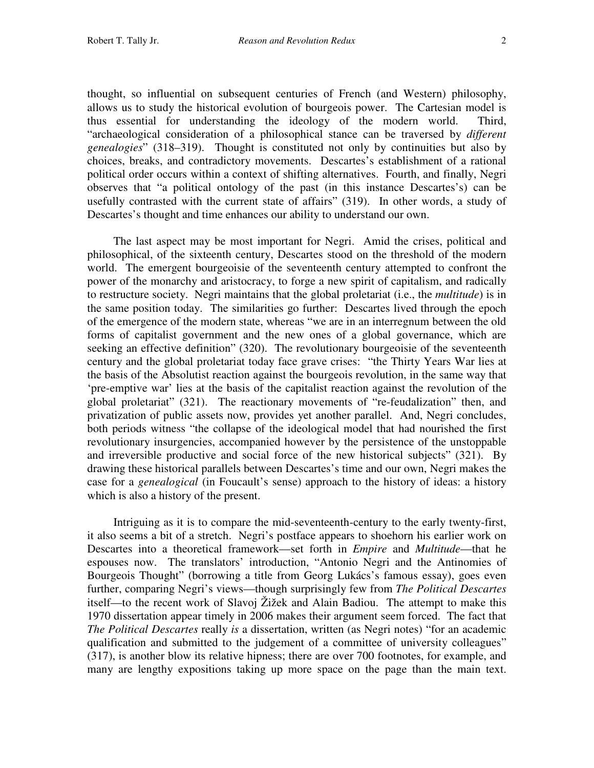thought, so influential on subsequent centuries of French (and Western) philosophy, allows us to study the historical evolution of bourgeois power. The Cartesian model is thus essential for understanding the ideology of the modern world. Third, "archaeological consideration of a philosophical stance can be traversed by *different genealogies*" (318–319). Thought is constituted not only by continuities but also by choices, breaks, and contradictory movements. Descartes's establishment of a rational political order occurs within a context of shifting alternatives. Fourth, and finally, Negri observes that "a political ontology of the past (in this instance Descartes's) can be usefully contrasted with the current state of affairs" (319). In other words, a study of Descartes's thought and time enhances our ability to understand our own.

 The last aspect may be most important for Negri. Amid the crises, political and philosophical, of the sixteenth century, Descartes stood on the threshold of the modern world. The emergent bourgeoisie of the seventeenth century attempted to confront the power of the monarchy and aristocracy, to forge a new spirit of capitalism, and radically to restructure society. Negri maintains that the global proletariat (i.e., the *multitude*) is in the same position today. The similarities go further: Descartes lived through the epoch of the emergence of the modern state, whereas "we are in an interregnum between the old forms of capitalist government and the new ones of a global governance, which are seeking an effective definition" (320). The revolutionary bourgeoisie of the seventeenth century and the global proletariat today face grave crises: "the Thirty Years War lies at the basis of the Absolutist reaction against the bourgeois revolution, in the same way that 'pre-emptive war' lies at the basis of the capitalist reaction against the revolution of the global proletariat" (321). The reactionary movements of "re-feudalization" then, and privatization of public assets now, provides yet another parallel. And, Negri concludes, both periods witness "the collapse of the ideological model that had nourished the first revolutionary insurgencies, accompanied however by the persistence of the unstoppable and irreversible productive and social force of the new historical subjects" (321). By drawing these historical parallels between Descartes's time and our own, Negri makes the case for a *genealogical* (in Foucault's sense) approach to the history of ideas: a history which is also a history of the present.

 Intriguing as it is to compare the mid-seventeenth-century to the early twenty-first, it also seems a bit of a stretch. Negri's postface appears to shoehorn his earlier work on Descartes into a theoretical framework—set forth in *Empire* and *Multitude*—that he espouses now. The translators' introduction, "Antonio Negri and the Antinomies of Bourgeois Thought" (borrowing a title from Georg Lukács's famous essay), goes even further, comparing Negri's views—though surprisingly few from *The Political Descartes* itself—to the recent work of Slavoj Žižek and Alain Badiou. The attempt to make this 1970 dissertation appear timely in 2006 makes their argument seem forced. The fact that *The Political Descartes* really *is* a dissertation, written (as Negri notes) "for an academic qualification and submitted to the judgement of a committee of university colleagues" (317), is another blow its relative hipness; there are over 700 footnotes, for example, and many are lengthy expositions taking up more space on the page than the main text.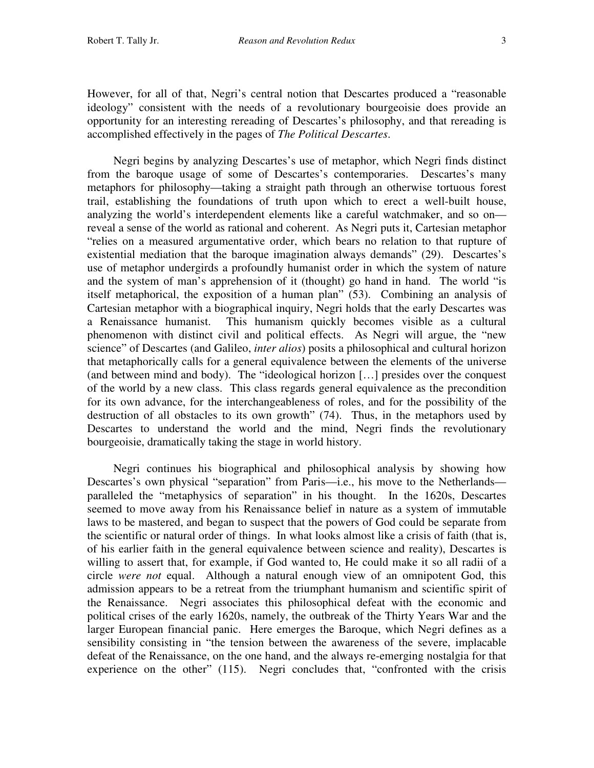However, for all of that, Negri's central notion that Descartes produced a "reasonable ideology" consistent with the needs of a revolutionary bourgeoisie does provide an opportunity for an interesting rereading of Descartes's philosophy, and that rereading is accomplished effectively in the pages of *The Political Descartes*.

 Negri begins by analyzing Descartes's use of metaphor, which Negri finds distinct from the baroque usage of some of Descartes's contemporaries. Descartes's many metaphors for philosophy—taking a straight path through an otherwise tortuous forest trail, establishing the foundations of truth upon which to erect a well-built house, analyzing the world's interdependent elements like a careful watchmaker, and so on reveal a sense of the world as rational and coherent. As Negri puts it, Cartesian metaphor "relies on a measured argumentative order, which bears no relation to that rupture of existential mediation that the baroque imagination always demands" (29). Descartes's use of metaphor undergirds a profoundly humanist order in which the system of nature and the system of man's apprehension of it (thought) go hand in hand. The world "is itself metaphorical, the exposition of a human plan" (53). Combining an analysis of Cartesian metaphor with a biographical inquiry, Negri holds that the early Descartes was a Renaissance humanist. This humanism quickly becomes visible as a cultural phenomenon with distinct civil and political effects. As Negri will argue, the "new science" of Descartes (and Galileo, *inter alios*) posits a philosophical and cultural horizon that metaphorically calls for a general equivalence between the elements of the universe (and between mind and body). The "ideological horizon […] presides over the conquest of the world by a new class. This class regards general equivalence as the precondition for its own advance, for the interchangeableness of roles, and for the possibility of the destruction of all obstacles to its own growth" (74). Thus, in the metaphors used by Descartes to understand the world and the mind, Negri finds the revolutionary bourgeoisie, dramatically taking the stage in world history.

 Negri continues his biographical and philosophical analysis by showing how Descartes's own physical "separation" from Paris—i.e., his move to the Netherlands paralleled the "metaphysics of separation" in his thought. In the 1620s, Descartes seemed to move away from his Renaissance belief in nature as a system of immutable laws to be mastered, and began to suspect that the powers of God could be separate from the scientific or natural order of things. In what looks almost like a crisis of faith (that is, of his earlier faith in the general equivalence between science and reality), Descartes is willing to assert that, for example, if God wanted to, He could make it so all radii of a circle *were not* equal. Although a natural enough view of an omnipotent God, this admission appears to be a retreat from the triumphant humanism and scientific spirit of the Renaissance. Negri associates this philosophical defeat with the economic and political crises of the early 1620s, namely, the outbreak of the Thirty Years War and the larger European financial panic. Here emerges the Baroque, which Negri defines as a sensibility consisting in "the tension between the awareness of the severe, implacable defeat of the Renaissance, on the one hand, and the always re-emerging nostalgia for that experience on the other" (115). Negri concludes that, "confronted with the crisis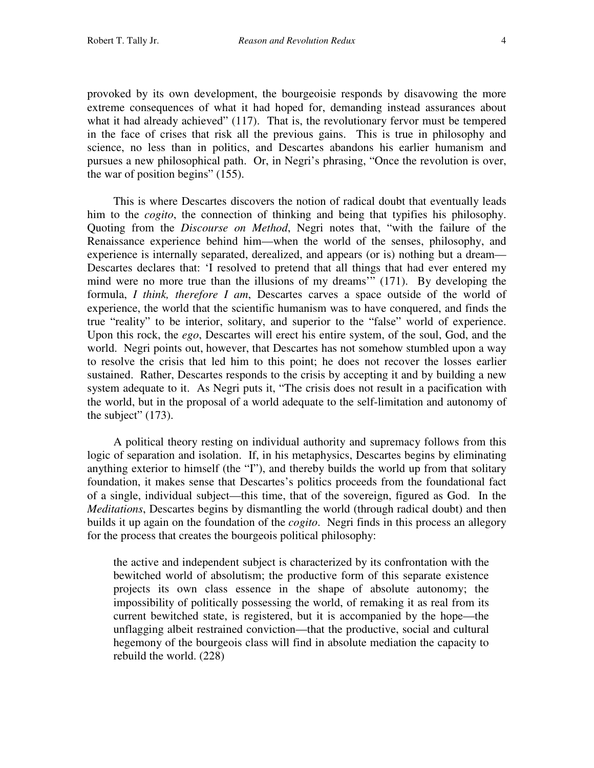provoked by its own development, the bourgeoisie responds by disavowing the more extreme consequences of what it had hoped for, demanding instead assurances about what it had already achieved" (117). That is, the revolutionary fervor must be tempered in the face of crises that risk all the previous gains. This is true in philosophy and science, no less than in politics, and Descartes abandons his earlier humanism and pursues a new philosophical path. Or, in Negri's phrasing, "Once the revolution is over, the war of position begins" (155).

 This is where Descartes discovers the notion of radical doubt that eventually leads him to the *cogito*, the connection of thinking and being that typifies his philosophy. Quoting from the *Discourse on Method*, Negri notes that, "with the failure of the Renaissance experience behind him—when the world of the senses, philosophy, and experience is internally separated, derealized, and appears (or is) nothing but a dream— Descartes declares that: 'I resolved to pretend that all things that had ever entered my mind were no more true than the illusions of my dreams'" (171). By developing the formula, *I think, therefore I am*, Descartes carves a space outside of the world of experience, the world that the scientific humanism was to have conquered, and finds the true "reality" to be interior, solitary, and superior to the "false" world of experience. Upon this rock, the *ego*, Descartes will erect his entire system, of the soul, God, and the world. Negri points out, however, that Descartes has not somehow stumbled upon a way to resolve the crisis that led him to this point; he does not recover the losses earlier sustained. Rather, Descartes responds to the crisis by accepting it and by building a new system adequate to it. As Negri puts it, "The crisis does not result in a pacification with the world, but in the proposal of a world adequate to the self-limitation and autonomy of the subject"  $(173)$ .

 A political theory resting on individual authority and supremacy follows from this logic of separation and isolation. If, in his metaphysics, Descartes begins by eliminating anything exterior to himself (the "I"), and thereby builds the world up from that solitary foundation, it makes sense that Descartes's politics proceeds from the foundational fact of a single, individual subject—this time, that of the sovereign, figured as God. In the *Meditations*, Descartes begins by dismantling the world (through radical doubt) and then builds it up again on the foundation of the *cogito*. Negri finds in this process an allegory for the process that creates the bourgeois political philosophy:

the active and independent subject is characterized by its confrontation with the bewitched world of absolutism; the productive form of this separate existence projects its own class essence in the shape of absolute autonomy; the impossibility of politically possessing the world, of remaking it as real from its current bewitched state, is registered, but it is accompanied by the hope—the unflagging albeit restrained conviction—that the productive, social and cultural hegemony of the bourgeois class will find in absolute mediation the capacity to rebuild the world. (228)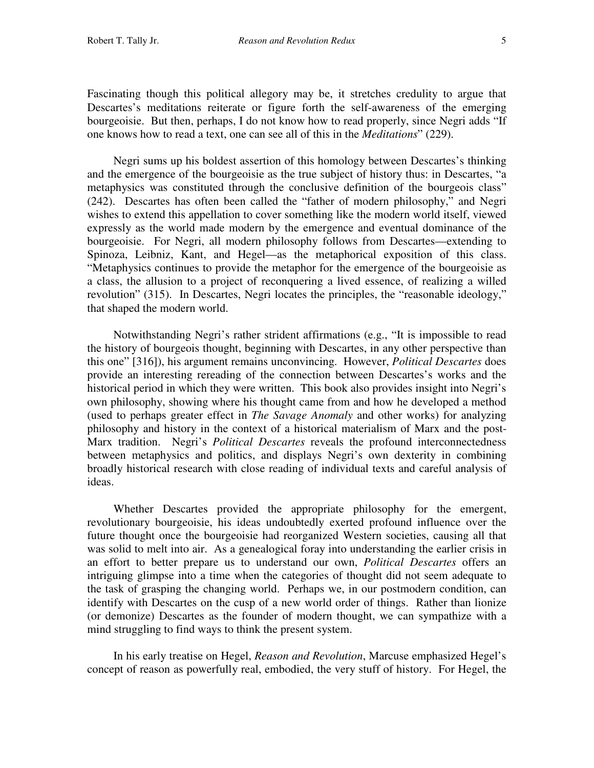Fascinating though this political allegory may be, it stretches credulity to argue that Descartes's meditations reiterate or figure forth the self-awareness of the emerging bourgeoisie. But then, perhaps, I do not know how to read properly, since Negri adds "If one knows how to read a text, one can see all of this in the *Meditations*" (229).

 Negri sums up his boldest assertion of this homology between Descartes's thinking and the emergence of the bourgeoisie as the true subject of history thus: in Descartes, "a metaphysics was constituted through the conclusive definition of the bourgeois class" (242). Descartes has often been called the "father of modern philosophy," and Negri wishes to extend this appellation to cover something like the modern world itself, viewed expressly as the world made modern by the emergence and eventual dominance of the bourgeoisie. For Negri, all modern philosophy follows from Descartes—extending to Spinoza, Leibniz, Kant, and Hegel—as the metaphorical exposition of this class. "Metaphysics continues to provide the metaphor for the emergence of the bourgeoisie as a class, the allusion to a project of reconquering a lived essence, of realizing a willed revolution" (315). In Descartes, Negri locates the principles, the "reasonable ideology," that shaped the modern world.

 Notwithstanding Negri's rather strident affirmations (e.g., "It is impossible to read the history of bourgeois thought, beginning with Descartes, in any other perspective than this one" [316]), his argument remains unconvincing. However, *Political Descartes* does provide an interesting rereading of the connection between Descartes's works and the historical period in which they were written. This book also provides insight into Negri's own philosophy, showing where his thought came from and how he developed a method (used to perhaps greater effect in *The Savage Anomaly* and other works) for analyzing philosophy and history in the context of a historical materialism of Marx and the post-Marx tradition. Negri's *Political Descartes* reveals the profound interconnectedness between metaphysics and politics, and displays Negri's own dexterity in combining broadly historical research with close reading of individual texts and careful analysis of ideas.

 Whether Descartes provided the appropriate philosophy for the emergent, revolutionary bourgeoisie, his ideas undoubtedly exerted profound influence over the future thought once the bourgeoisie had reorganized Western societies, causing all that was solid to melt into air. As a genealogical foray into understanding the earlier crisis in an effort to better prepare us to understand our own, *Political Descartes* offers an intriguing glimpse into a time when the categories of thought did not seem adequate to the task of grasping the changing world. Perhaps we, in our postmodern condition, can identify with Descartes on the cusp of a new world order of things. Rather than lionize (or demonize) Descartes as the founder of modern thought, we can sympathize with a mind struggling to find ways to think the present system.

 In his early treatise on Hegel, *Reason and Revolution*, Marcuse emphasized Hegel's concept of reason as powerfully real, embodied, the very stuff of history. For Hegel, the